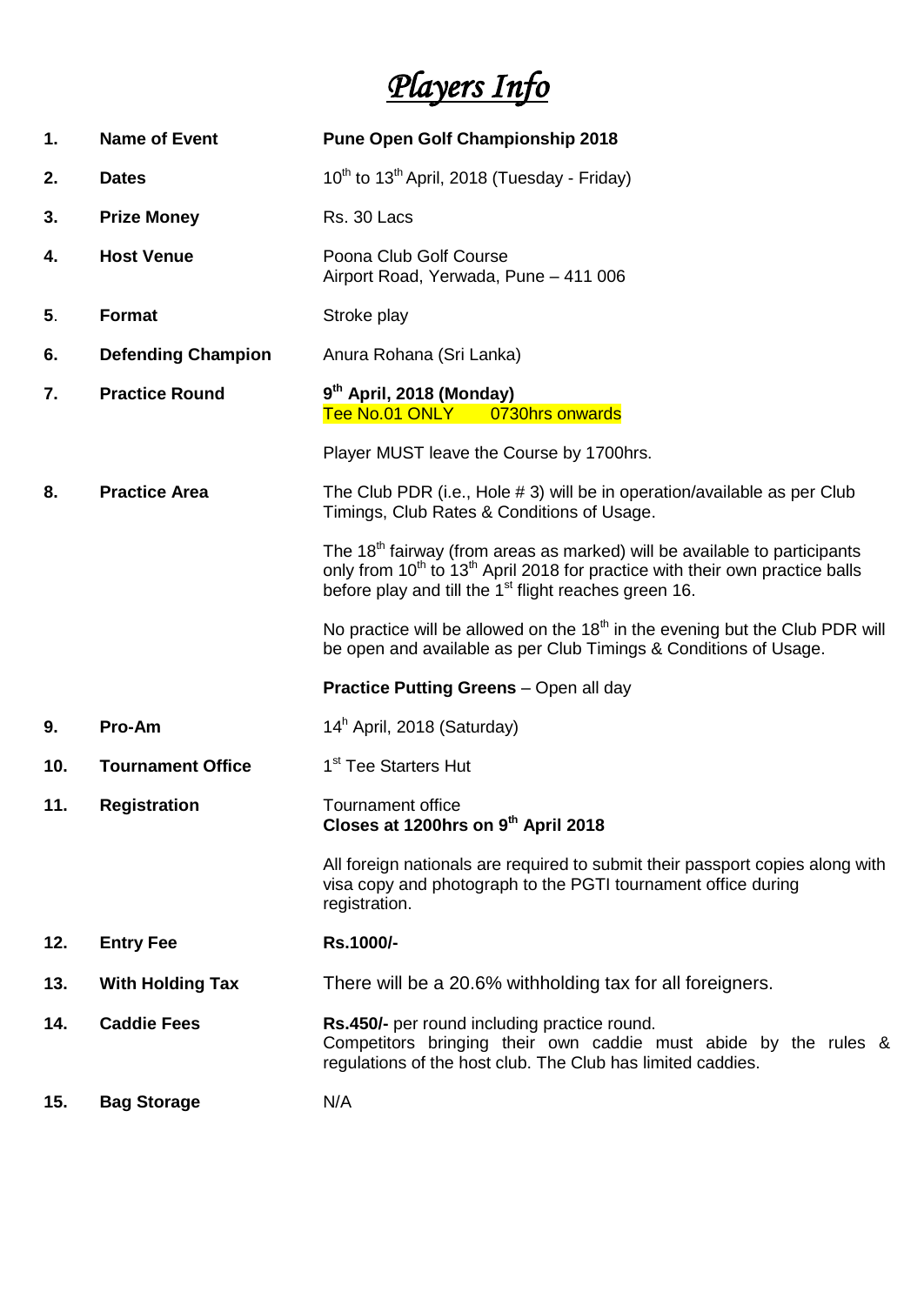# *Players Info*

| 1.  | <b>Name of Event</b>      | <b>Pune Open Golf Championship 2018</b>                                                                                                                                                                                                                            |  |
|-----|---------------------------|--------------------------------------------------------------------------------------------------------------------------------------------------------------------------------------------------------------------------------------------------------------------|--|
| 2.  | <b>Dates</b>              | 10 <sup>th</sup> to 13 <sup>th</sup> April, 2018 (Tuesday - Friday)                                                                                                                                                                                                |  |
| 3.  | <b>Prize Money</b>        | Rs. 30 Lacs                                                                                                                                                                                                                                                        |  |
| 4.  | <b>Host Venue</b>         | Poona Club Golf Course<br>Airport Road, Yerwada, Pune - 411 006                                                                                                                                                                                                    |  |
| 5.  | Format                    | Stroke play                                                                                                                                                                                                                                                        |  |
| 6.  | <b>Defending Champion</b> | Anura Rohana (Sri Lanka)                                                                                                                                                                                                                                           |  |
| 7.  | <b>Practice Round</b>     | 9 <sup>th</sup> April, 2018 (Monday)<br>Tee No.01 ONLY 0730hrs onwards                                                                                                                                                                                             |  |
|     |                           | Player MUST leave the Course by 1700hrs.                                                                                                                                                                                                                           |  |
| 8.  | <b>Practice Area</b>      | The Club PDR (i.e., Hole # 3) will be in operation/available as per Club<br>Timings, Club Rates & Conditions of Usage.                                                                                                                                             |  |
|     |                           | The 18 <sup>th</sup> fairway (from areas as marked) will be available to participants<br>only from 10 <sup>th</sup> to 13 <sup>th</sup> April 2018 for practice with their own practice balls<br>before play and till the 1 <sup>st</sup> flight reaches green 16. |  |
|     |                           | No practice will be allowed on the $18th$ in the evening but the Club PDR will<br>be open and available as per Club Timings & Conditions of Usage.                                                                                                                 |  |
|     |                           | <b>Practice Putting Greens - Open all day</b>                                                                                                                                                                                                                      |  |
| 9.  | Pro-Am                    | 14 <sup>h</sup> April, 2018 (Saturday)                                                                                                                                                                                                                             |  |
| 10. | <b>Tournament Office</b>  | 1 <sup>st</sup> Tee Starters Hut                                                                                                                                                                                                                                   |  |
| 11. | <b>Registration</b>       | Tournament office<br>Closes at 1200hrs on 9th April 2018                                                                                                                                                                                                           |  |
|     |                           | All foreign nationals are required to submit their passport copies along with<br>visa copy and photograph to the PGTI tournament office during<br>registration.                                                                                                    |  |
| 12. | <b>Entry Fee</b>          | Rs.1000/-                                                                                                                                                                                                                                                          |  |
| 13. | <b>With Holding Tax</b>   | There will be a 20.6% withholding tax for all foreigners.                                                                                                                                                                                                          |  |
| 14. | <b>Caddie Fees</b>        | Rs.450/- per round including practice round.<br>Competitors bringing their own caddie must abide by the rules &<br>regulations of the host club. The Club has limited caddies.                                                                                     |  |
| 15. | <b>Bag Storage</b>        | N/A                                                                                                                                                                                                                                                                |  |